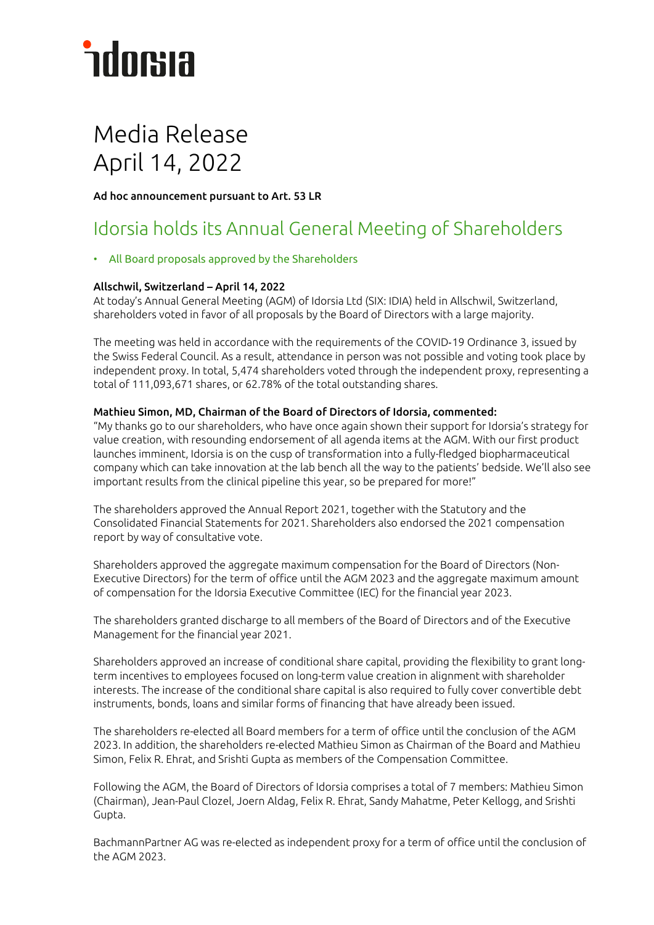# **ndorsia**

# Media Release April 14, 2022

Ad hoc announcement pursuant to Art. 53 LR

## Idorsia holds its Annual General Meeting of Shareholders

## • All Board proposals approved by the Shareholders

## Allschwil, Switzerland – April 14, 2022

At today's Annual General Meeting (AGM) of Idorsia Ltd (SIX: IDIA) held in Allschwil, Switzerland, shareholders voted in favor of all proposals by the Board of Directors with a large majority.

The meeting was held in accordance with the requirements of the COVID-19 Ordinance 3, issued by the Swiss Federal Council. As a result, attendance in person was not possible and voting took place by independent proxy. In total, 5,474 shareholders voted through the independent proxy, representing a total of 111,093,671 shares, or 62.78% of the total outstanding shares.

### Mathieu Simon, MD, Chairman of the Board of Directors of Idorsia, commented:

"My thanks go to our shareholders, who have once again shown their support for Idorsia's strategy for value creation, with resounding endorsement of all agenda items at the AGM. With our first product launches imminent, Idorsia is on the cusp of transformation into a fully-fledged biopharmaceutical company which can take innovation at the lab bench all the way to the patients' bedside. We'll also see important results from the clinical pipeline this year, so be prepared for more!"

The shareholders approved the Annual Report 2021, together with the Statutory and the Consolidated Financial Statements for 2021. Shareholders also endorsed the 2021 compensation report by way of consultative vote.

Shareholders approved the aggregate maximum compensation for the Board of Directors (Non-Executive Directors) for the term of office until the AGM 2023 and the aggregate maximum amount of compensation for the Idorsia Executive Committee (IEC) for the financial year 2023.

The shareholders granted discharge to all members of the Board of Directors and of the Executive Management for the financial year 2021.

Shareholders approved an increase of conditional share capital, providing the flexibility to grant longterm incentives to employees focused on long-term value creation in alignment with shareholder interests. The increase of the conditional share capital is also required to fully cover convertible debt instruments, bonds, loans and similar forms of financing that have already been issued.

The shareholders re-elected all Board members for a term of office until the conclusion of the AGM 2023. In addition, the shareholders re-elected Mathieu Simon as Chairman of the Board and Mathieu Simon, Felix R. Ehrat, and Srishti Gupta as members of the Compensation Committee.

Following the AGM, the Board of Directors of Idorsia comprises a total of 7 members: Mathieu Simon (Chairman), Jean-Paul Clozel, Joern Aldag, Felix R. Ehrat, Sandy Mahatme, Peter Kellogg, and Srishti Gupta.

BachmannPartner AG was re-elected as independent proxy for a term of office until the conclusion of the AGM 2023.